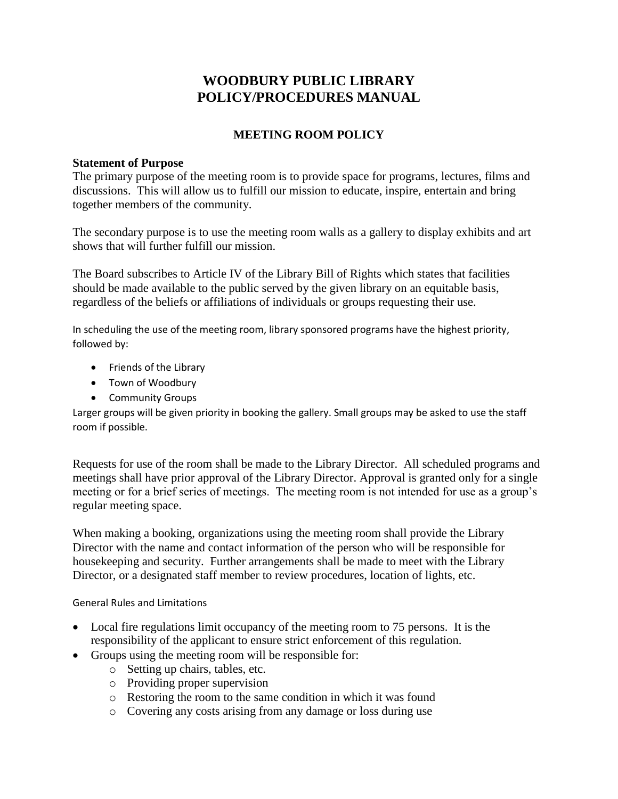# **WOODBURY PUBLIC LIBRARY POLICY/PROCEDURES MANUAL**

## **MEETING ROOM POLICY**

#### **Statement of Purpose**

The primary purpose of the meeting room is to provide space for programs, lectures, films and discussions. This will allow us to fulfill our mission to educate, inspire, entertain and bring together members of the community.

The secondary purpose is to use the meeting room walls as a gallery to display exhibits and art shows that will further fulfill our mission.

The Board subscribes to Article IV of the Library Bill of Rights which states that facilities should be made available to the public served by the given library on an equitable basis, regardless of the beliefs or affiliations of individuals or groups requesting their use.

In scheduling the use of the meeting room, library sponsored programs have the highest priority, followed by:

- Friends of the Library
- Town of Woodbury
- Community Groups

Larger groups will be given priority in booking the gallery. Small groups may be asked to use the staff room if possible.

Requests for use of the room shall be made to the Library Director. All scheduled programs and meetings shall have prior approval of the Library Director. Approval is granted only for a single meeting or for a brief series of meetings. The meeting room is not intended for use as a group's regular meeting space.

When making a booking, organizations using the meeting room shall provide the Library Director with the name and contact information of the person who will be responsible for housekeeping and security. Further arrangements shall be made to meet with the Library Director, or a designated staff member to review procedures, location of lights, etc.

General Rules and Limitations

- Local fire regulations limit occupancy of the meeting room to 75 persons. It is the responsibility of the applicant to ensure strict enforcement of this regulation.
- Groups using the meeting room will be responsible for:
	- o Setting up chairs, tables, etc.
	- o Providing proper supervision
	- o Restoring the room to the same condition in which it was found
	- o Covering any costs arising from any damage or loss during use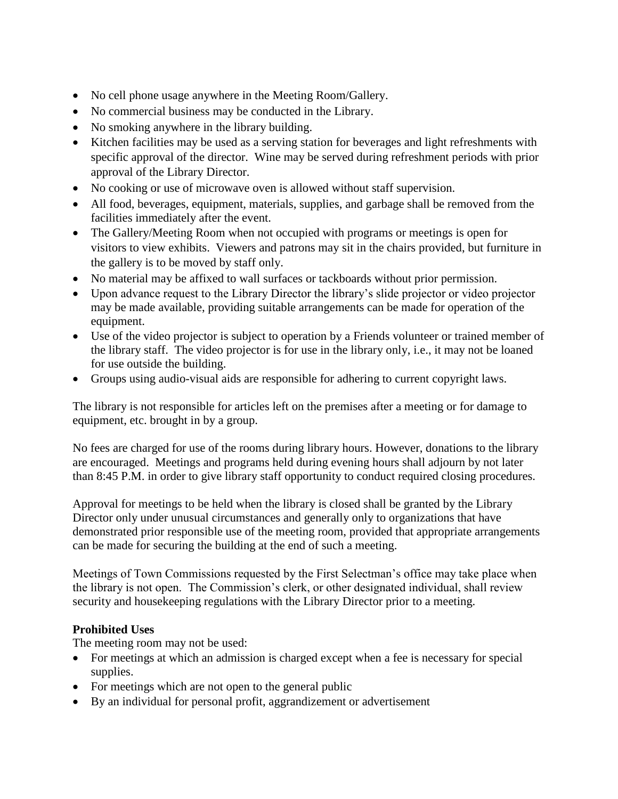- No cell phone usage anywhere in the Meeting Room/Gallery.
- No commercial business may be conducted in the Library.
- No smoking anywhere in the library building.
- Kitchen facilities may be used as a serving station for beverages and light refreshments with specific approval of the director. Wine may be served during refreshment periods with prior approval of the Library Director.
- No cooking or use of microwave oven is allowed without staff supervision.
- All food, beverages, equipment, materials, supplies, and garbage shall be removed from the facilities immediately after the event.
- The Gallery/Meeting Room when not occupied with programs or meetings is open for visitors to view exhibits. Viewers and patrons may sit in the chairs provided, but furniture in the gallery is to be moved by staff only.
- No material may be affixed to wall surfaces or tackboards without prior permission.
- Upon advance request to the Library Director the library's slide projector or video projector may be made available, providing suitable arrangements can be made for operation of the equipment.
- Use of the video projector is subject to operation by a Friends volunteer or trained member of the library staff. The video projector is for use in the library only, i.e., it may not be loaned for use outside the building.
- Groups using audio-visual aids are responsible for adhering to current copyright laws.

The library is not responsible for articles left on the premises after a meeting or for damage to equipment, etc. brought in by a group.

No fees are charged for use of the rooms during library hours. However, donations to the library are encouraged. Meetings and programs held during evening hours shall adjourn by not later than 8:45 P.M. in order to give library staff opportunity to conduct required closing procedures.

Approval for meetings to be held when the library is closed shall be granted by the Library Director only under unusual circumstances and generally only to organizations that have demonstrated prior responsible use of the meeting room, provided that appropriate arrangements can be made for securing the building at the end of such a meeting.

Meetings of Town Commissions requested by the First Selectman's office may take place when the library is not open. The Commission's clerk, or other designated individual, shall review security and housekeeping regulations with the Library Director prior to a meeting.

## **Prohibited Uses**

The meeting room may not be used:

- For meetings at which an admission is charged except when a fee is necessary for special supplies.
- For meetings which are not open to the general public
- By an individual for personal profit, aggrandizement or advertisement